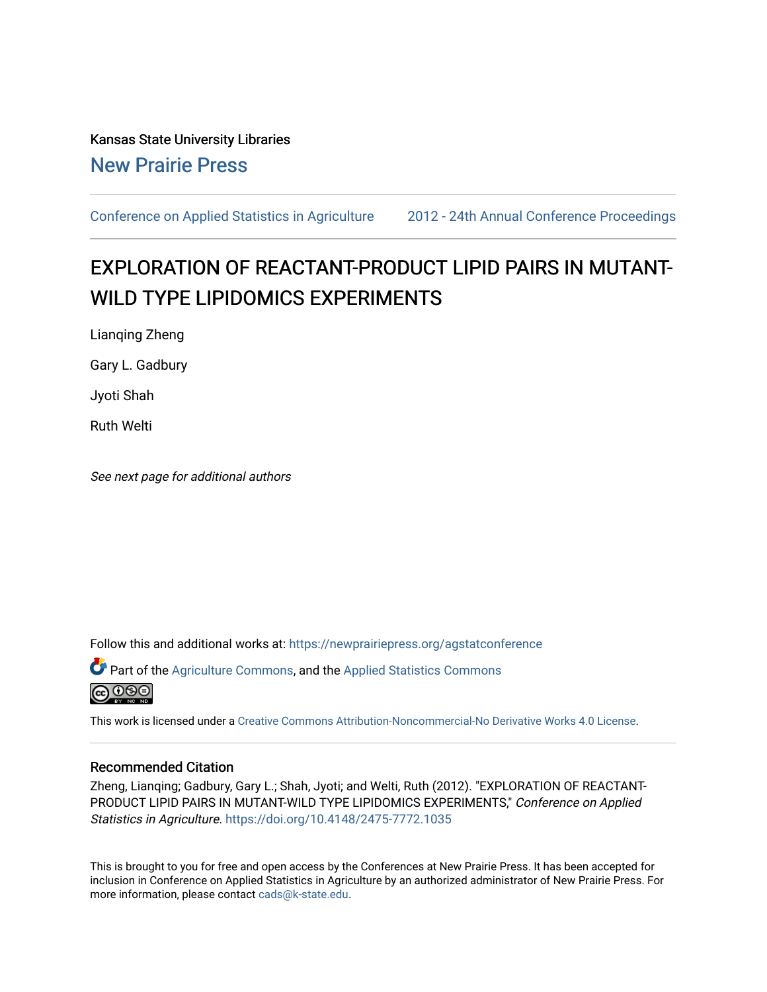# Kansas State University Libraries [New Prairie Press](https://newprairiepress.org/)

[Conference on Applied Statistics in Agriculture](https://newprairiepress.org/agstatconference) [2012 - 24th Annual Conference Proceedings](https://newprairiepress.org/agstatconference/2012) 

# EXPLORATION OF REACTANT-PRODUCT LIPID PAIRS IN MUTANT-WILD TYPE LIPIDOMICS EXPERIMENTS

Lianqing Zheng

Gary L. Gadbury

Jyoti Shah

Ruth Welti

See next page for additional authors

Follow this and additional works at: [https://newprairiepress.org/agstatconference](https://newprairiepress.org/agstatconference?utm_source=newprairiepress.org%2Fagstatconference%2F2012%2Fproceedings%2F13&utm_medium=PDF&utm_campaign=PDFCoverPages)

 $\bullet$  Part of the [Agriculture Commons](http://network.bepress.com/hgg/discipline/1076?utm_source=newprairiepress.org%2Fagstatconference%2F2012%2Fproceedings%2F13&utm_medium=PDF&utm_campaign=PDFCoverPages), and the Applied Statistics Commons **@ 0®** 

This work is licensed under a [Creative Commons Attribution-Noncommercial-No Derivative Works 4.0 License.](https://creativecommons.org/licenses/by-nc-nd/4.0/)

#### Recommended Citation

Zheng, Lianqing; Gadbury, Gary L.; Shah, Jyoti; and Welti, Ruth (2012). "EXPLORATION OF REACTANT-PRODUCT LIPID PAIRS IN MUTANT-WILD TYPE LIPIDOMICS EXPERIMENTS," Conference on Applied Statistics in Agriculture.<https://doi.org/10.4148/2475-7772.1035>

This is brought to you for free and open access by the Conferences at New Prairie Press. It has been accepted for inclusion in Conference on Applied Statistics in Agriculture by an authorized administrator of New Prairie Press. For more information, please contact [cads@k-state.edu](mailto:cads@k-state.edu).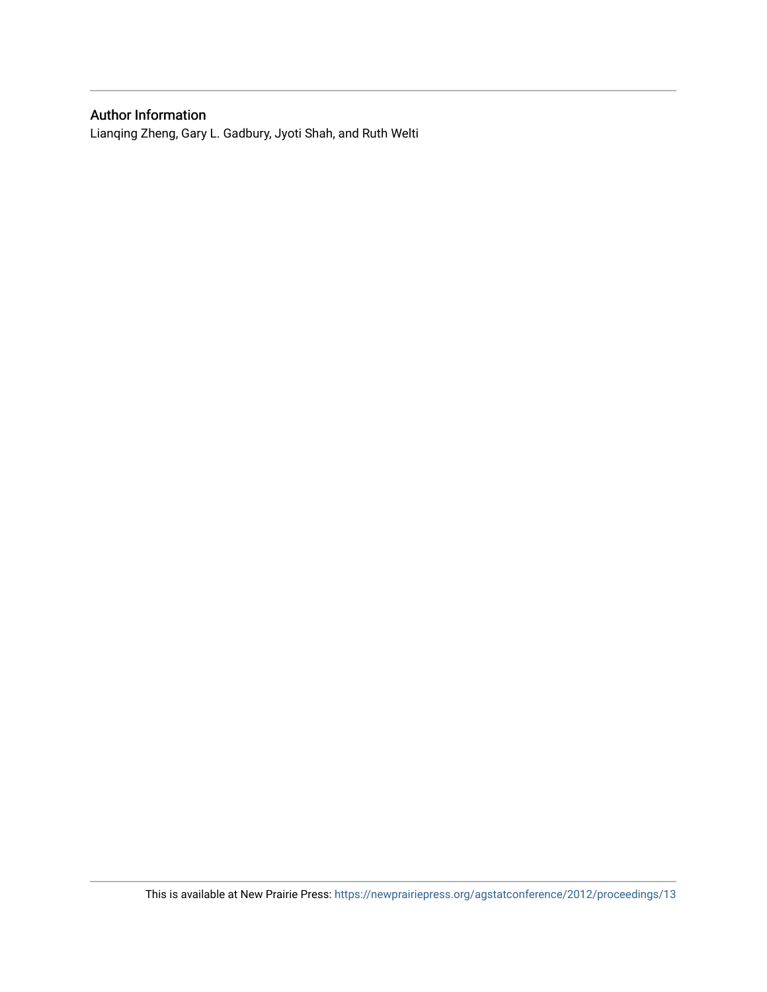## Author Information

Lianqing Zheng, Gary L. Gadbury, Jyoti Shah, and Ruth Welti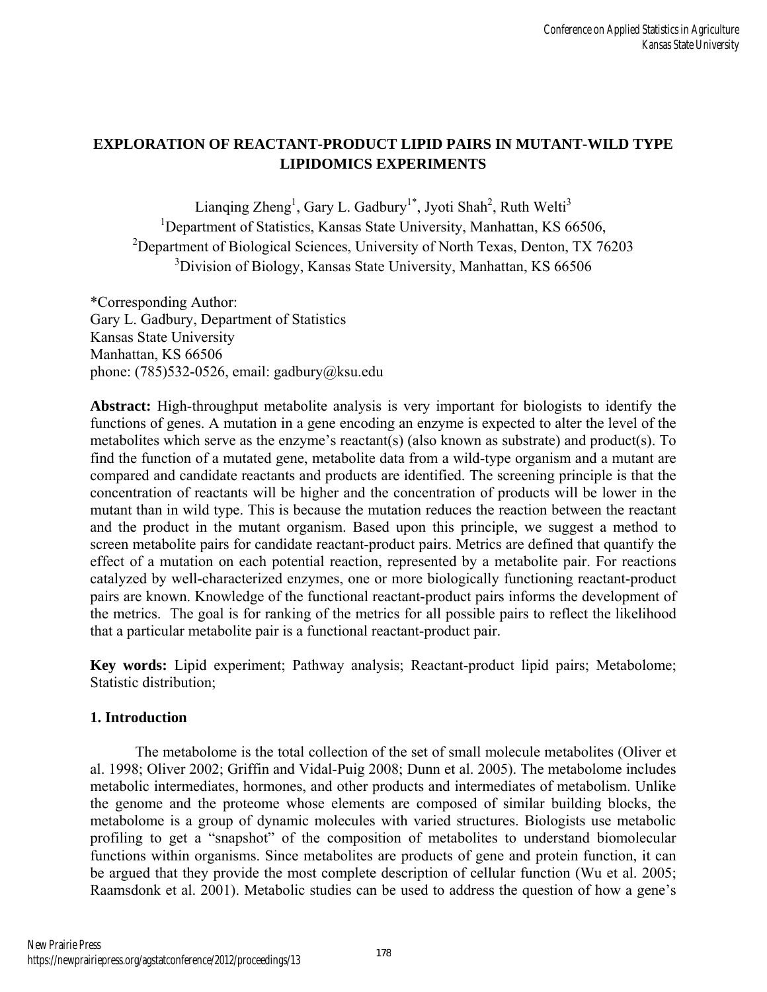# **EXPLORATION OF REACTANT-PRODUCT LIPID PAIRS IN MUTANT-WILD TYPE LIPIDOMICS EXPERIMENTS**

Lianqing Zheng<sup>1</sup>, Gary L. Gadbury<sup>1\*</sup>, Jyoti Shah<sup>2</sup>, Ruth Welti<sup>3</sup> <sup>1</sup>Department of Statistics, Kansas State University, Manhattan, KS 66506, <sup>2</sup>Department of Biological Sciences, University of North Texas, Denton, TX 76203 <sup>3</sup> Division of Biology, Kansas State University, Manhattan, KS 66506

\*Corresponding Author: Gary L. Gadbury, Department of Statistics Kansas State University Manhattan, KS 66506 phone: (785)532-0526, email: gadbury@ksu.edu

**Abstract:** High-throughput metabolite analysis is very important for biologists to identify the functions of genes. A mutation in a gene encoding an enzyme is expected to alter the level of the metabolites which serve as the enzyme's reactant(s) (also known as substrate) and product(s). To find the function of a mutated gene, metabolite data from a wild-type organism and a mutant are compared and candidate reactants and products are identified. The screening principle is that the concentration of reactants will be higher and the concentration of products will be lower in the mutant than in wild type. This is because the mutation reduces the reaction between the reactant and the product in the mutant organism. Based upon this principle, we suggest a method to screen metabolite pairs for candidate reactant-product pairs. Metrics are defined that quantify the effect of a mutation on each potential reaction, represented by a metabolite pair. For reactions catalyzed by well-characterized enzymes, one or more biologically functioning reactant-product pairs are known. Knowledge of the functional reactant-product pairs informs the development of the metrics. The goal is for ranking of the metrics for all possible pairs to reflect the likelihood that a particular metabolite pair is a functional reactant-product pair.

**Key words:** Lipid experiment; Pathway analysis; Reactant-product lipid pairs; Metabolome; Statistic distribution;

## **1. Introduction**

The metabolome is the total collection of the set of small molecule metabolites (Oliver et al. 1998; Oliver 2002; Griffin and Vidal-Puig 2008; Dunn et al. 2005). The metabolome includes metabolic intermediates, hormones, and other products and intermediates of metabolism. Unlike the genome and the proteome whose elements are composed of similar building blocks, the metabolome is a group of dynamic molecules with varied structures. Biologists use metabolic profiling to get a "snapshot" of the composition of metabolites to understand biomolecular functions within organisms. Since metabolites are products of gene and protein function, it can be argued that they provide the most complete description of cellular function (Wu et al. 2005; Raamsdonk et al. 2001). Metabolic studies can be used to address the question of how a gene's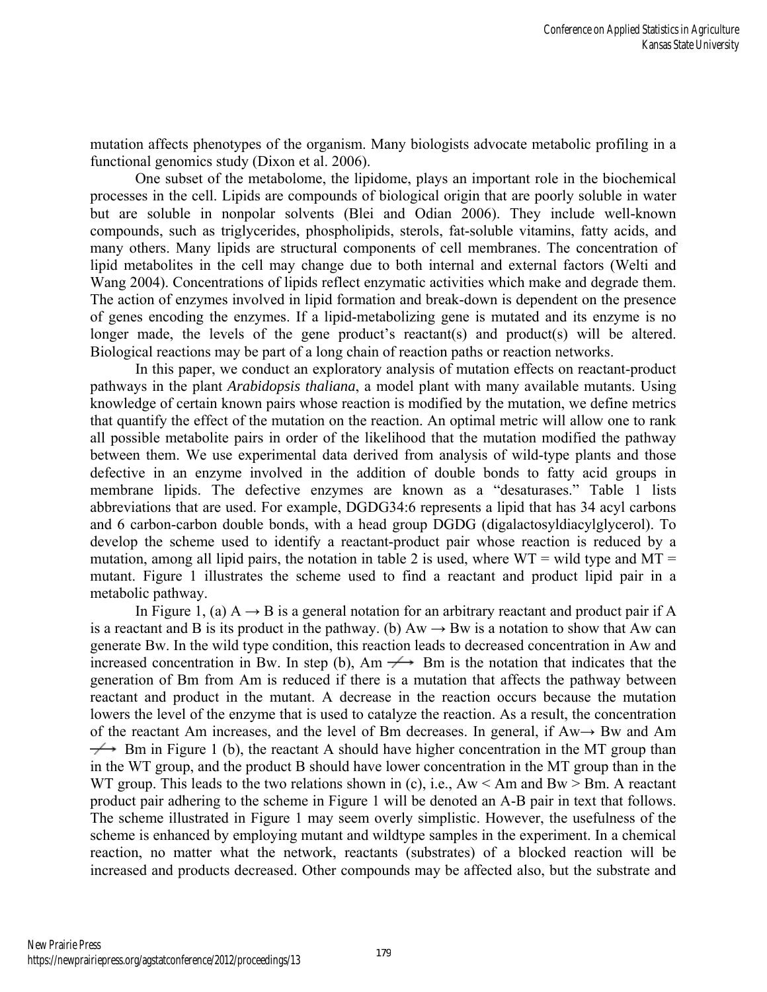mutation affects phenotypes of the organism. Many biologists advocate metabolic profiling in a functional genomics study (Dixon et al. 2006).

One subset of the metabolome, the lipidome, plays an important role in the biochemical processes in the cell. Lipids are compounds of biological origin that are poorly soluble in water but are soluble in nonpolar solvents (Blei and Odian 2006). They include well-known compounds, such as triglycerides, phospholipids, sterols, fat-soluble vitamins, fatty acids, and many others. Many lipids are structural components of cell membranes. The concentration of lipid metabolites in the cell may change due to both internal and external factors (Welti and Wang 2004). Concentrations of lipids reflect enzymatic activities which make and degrade them. The action of enzymes involved in lipid formation and break-down is dependent on the presence of genes encoding the enzymes. If a lipid-metabolizing gene is mutated and its enzyme is no longer made, the levels of the gene product's reactant(s) and product(s) will be altered. Biological reactions may be part of a long chain of reaction paths or reaction networks.

In this paper, we conduct an exploratory analysis of mutation effects on reactant-product pathways in the plant *Arabidopsis thaliana*, a model plant with many available mutants. Using knowledge of certain known pairs whose reaction is modified by the mutation, we define metrics that quantify the effect of the mutation on the reaction. An optimal metric will allow one to rank all possible metabolite pairs in order of the likelihood that the mutation modified the pathway between them. We use experimental data derived from analysis of wild-type plants and those defective in an enzyme involved in the addition of double bonds to fatty acid groups in membrane lipids. The defective enzymes are known as a "desaturases." Table 1 lists abbreviations that are used. For example, DGDG34:6 represents a lipid that has 34 acyl carbons and 6 carbon-carbon double bonds, with a head group DGDG (digalactosyldiacylglycerol). To develop the scheme used to identify a reactant-product pair whose reaction is reduced by a mutation, among all lipid pairs, the notation in table 2 is used, where  $WT =$  wild type and  $MT =$ mutant. Figure 1 illustrates the scheme used to find a reactant and product lipid pair in a metabolic pathway.

In Figure 1, (a)  $A \rightarrow B$  is a general notation for an arbitrary reactant and product pair if A is a reactant and B is its product in the pathway. (b)  $Aw \rightarrow Bw$  is a notation to show that Aw can generate Bw. In the wild type condition, this reaction leads to decreased concentration in Aw and increased concentration in Bw. In step (b), Am  $\rightarrow$  Bm is the notation that indicates that the generation of Bm from Am is reduced if there is a mutation that affects the pathway between reactant and product in the mutant. A decrease in the reaction occurs because the mutation lowers the level of the enzyme that is used to catalyze the reaction. As a result, the concentration of the reactant Am increases, and the level of Bm decreases. In general, if Aw→ Bw and Am  $\rightarrow$  Bm in Figure 1 (b), the reactant A should have higher concentration in the MT group than in the WT group, and the product B should have lower concentration in the MT group than in the WT group. This leads to the two relations shown in (c), i.e.,  $Aw < Am$  and  $Bw > Bm$ . A reactant product pair adhering to the scheme in Figure 1 will be denoted an A-B pair in text that follows. The scheme illustrated in Figure 1 may seem overly simplistic. However, the usefulness of the scheme is enhanced by employing mutant and wildtype samples in the experiment. In a chemical reaction, no matter what the network, reactants (substrates) of a blocked reaction will be increased and products decreased. Other compounds may be affected also, but the substrate and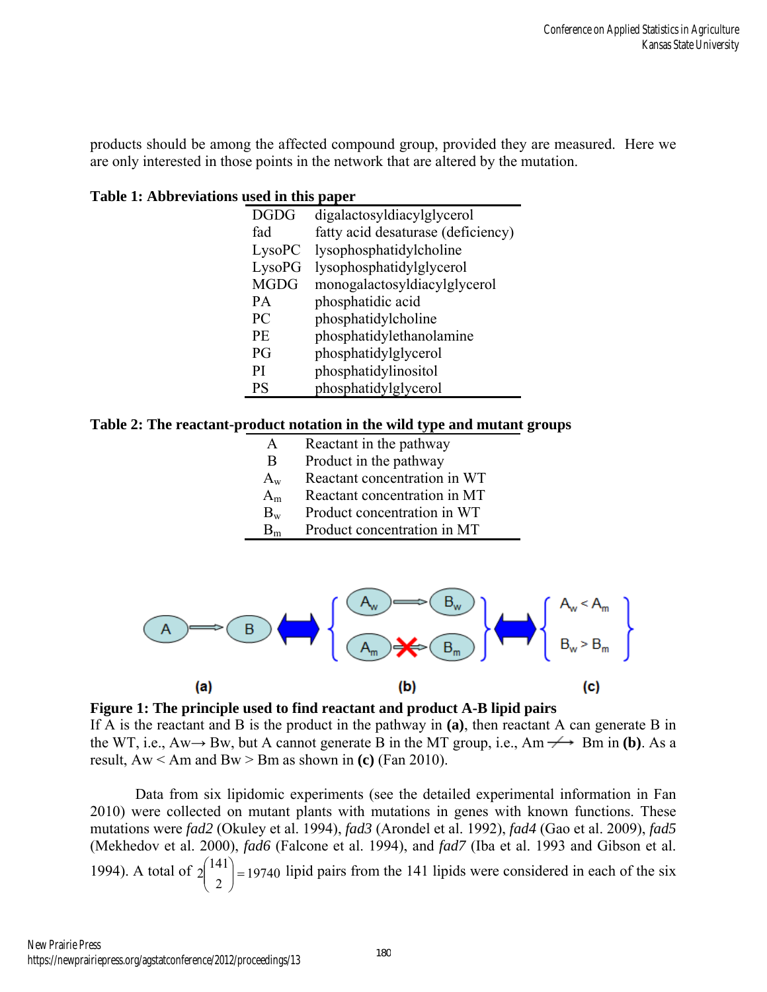products should be among the affected compound group, provided they are measured. Here we are only interested in those points in the network that are altered by the mutation.

**Table 1: Abbreviations used in this paper** 

| <b>DGDG</b>    | digalactosyldiacylglycerol         |
|----------------|------------------------------------|
| fad            | fatty acid desaturase (deficiency) |
| LysoPC         | lysophosphatidylcholine            |
| <b>LysoPG</b>  | lysophosphatidylglycerol           |
| <b>MGDG</b>    | monogalactosyldiacylglycerol       |
| <b>PA</b>      | phosphatidic acid                  |
| PC             | phosphatidylcholine                |
| <b>PE</b>      | phosphatidylethanolamine           |
| P <sub>G</sub> | phosphatidylglycerol               |
| PI             | phosphatidylinositol               |
| PS             | phosphatidylglycerol               |

**Table 2: The reactant-product notation in the wild type and mutant groups** 

| A       | Reactant in the pathway      |
|---------|------------------------------|
| B       | Product in the pathway       |
| $A_w$   | Reactant concentration in WT |
| $A_m$   | Reactant concentration in MT |
| $B_{w}$ | Product concentration in WT  |
| $B_m$   | Product concentration in MT  |



**Figure 1: The principle used to find reactant and product A-B lipid pairs** 

If A is the reactant and B is the product in the pathway in **(a)**, then reactant A can generate B in the WT, i.e.,  $Aw \rightarrow Bw$ , but A cannot generate B in the MT group, i.e.,  $Am \rightarrow Bm$  in **(b)**. As a result, Aw < Am and Bw > Bm as shown in **(c)** (Fan 2010).

Data from six lipidomic experiments (see the detailed experimental information in Fan 2010) were collected on mutant plants with mutations in genes with known functions. These mutations were *fad2* (Okuley et al. 1994), *fad3* (Arondel et al. 1992), *fad4* (Gao et al. 2009), *fad5*  (Mekhedov et al. 2000), *fad6* (Falcone et al. 1994), and *fad7* (Iba et al. 1993 and Gibson et al. 1994). A total of  $2\begin{pmatrix} 1 & 4 & 1 \\ 2 & 6 & 1 \end{pmatrix}$  = 19740 2  $2\binom{141}{2} =$ J  $\backslash$  $\overline{\phantom{a}}$  $\setminus$  $\binom{141}{ }$  = 19740 lipid pairs from the 141 lipids were considered in each of the six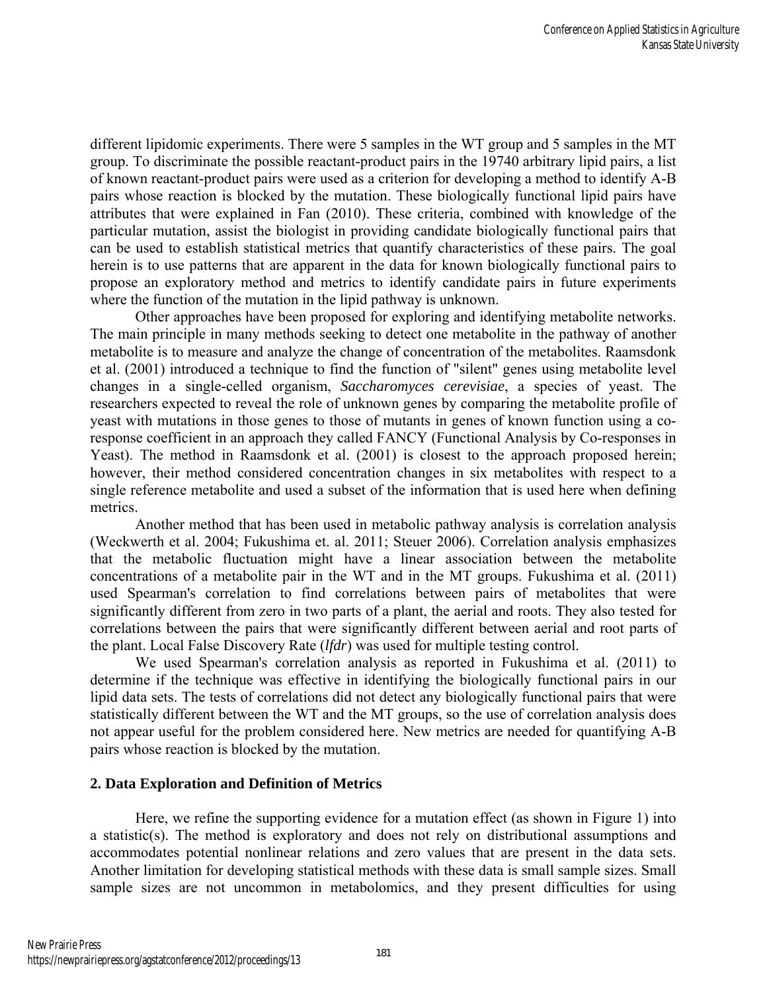different lipidomic experiments. There were 5 samples in the WT group and 5 samples in the MT group. To discriminate the possible reactant-product pairs in the 19740 arbitrary lipid pairs, a list of known reactant-product pairs were used as a criterion for developing a method to identify A-B pairs whose reaction is blocked by the mutation. These biologically functional lipid pairs have attributes that were explained in Fan (2010). These criteria, combined with knowledge of the particular mutation, assist the biologist in providing candidate biologically functional pairs that can be used to establish statistical metrics that quantify characteristics of these pairs. The goal herein is to use patterns that are apparent in the data for known biologically functional pairs to propose an exploratory method and metrics to identify candidate pairs in future experiments where the function of the mutation in the lipid pathway is unknown.

Other approaches have been proposed for exploring and identifying metabolite networks. The main principle in many methods seeking to detect one metabolite in the pathway of another metabolite is to measure and analyze the change of concentration of the metabolites. Raamsdonk et al. (2001) introduced a technique to find the function of "silent" genes using metabolite level changes in a single-celled organism, *Saccharomyces cerevisiae*, a species of yeast. The researchers expected to reveal the role of unknown genes by comparing the metabolite profile of yeast with mutations in those genes to those of mutants in genes of known function using a coresponse coefficient in an approach they called FANCY (Functional Analysis by Co-responses in Yeast). The method in Raamsdonk et al. (2001) is closest to the approach proposed herein; however, their method considered concentration changes in six metabolites with respect to a single reference metabolite and used a subset of the information that is used here when defining metrics.

Another method that has been used in metabolic pathway analysis is correlation analysis (Weckwerth et al. 2004; Fukushima et. al. 2011; Steuer 2006). Correlation analysis emphasizes that the metabolic fluctuation might have a linear association between the metabolite concentrations of a metabolite pair in the WT and in the MT groups. Fukushima et al. (2011) used Spearman's correlation to find correlations between pairs of metabolites that were significantly different from zero in two parts of a plant, the aerial and roots. They also tested for correlations between the pairs that were significantly different between aerial and root parts of the plant. Local False Discovery Rate (*lfdr*) was used for multiple testing control.

We used Spearman's correlation analysis as reported in Fukushima et al. (2011) to determine if the technique was effective in identifying the biologically functional pairs in our lipid data sets. The tests of correlations did not detect any biologically functional pairs that were statistically different between the WT and the MT groups, so the use of correlation analysis does not appear useful for the problem considered here. New metrics are needed for quantifying A-B pairs whose reaction is blocked by the mutation.

#### **2. Data Exploration and Definition of Metrics**

Here, we refine the supporting evidence for a mutation effect (as shown in Figure 1) into a statistic(s). The method is exploratory and does not rely on distributional assumptions and accommodates potential nonlinear relations and zero values that are present in the data sets. Another limitation for developing statistical methods with these data is small sample sizes. Small sample sizes are not uncommon in metabolomics, and they present difficulties for using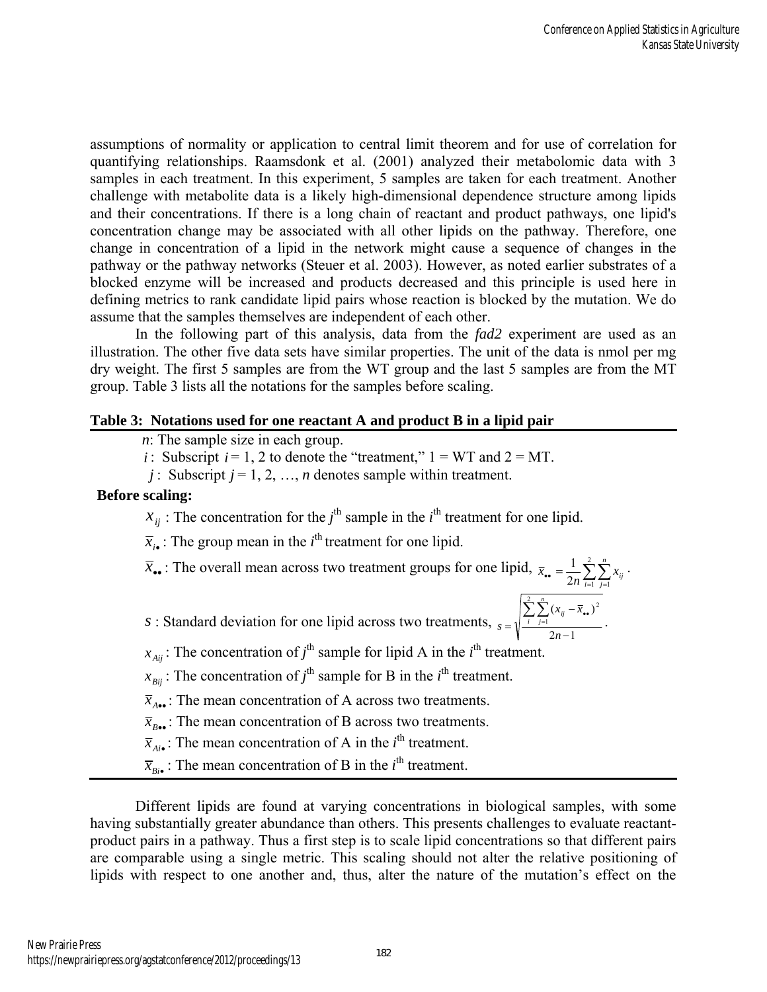*i*

assumptions of normality or application to central limit theorem and for use of correlation for quantifying relationships. Raamsdonk et al. (2001) analyzed their metabolomic data with 3 samples in each treatment. In this experiment, 5 samples are taken for each treatment. Another challenge with metabolite data is a likely high-dimensional dependence structure among lipids and their concentrations. If there is a long chain of reactant and product pathways, one lipid's concentration change may be associated with all other lipids on the pathway. Therefore, one change in concentration of a lipid in the network might cause a sequence of changes in the pathway or the pathway networks (Steuer et al. 2003). However, as noted earlier substrates of a blocked enzyme will be increased and products decreased and this principle is used here in defining metrics to rank candidate lipid pairs whose reaction is blocked by the mutation. We do assume that the samples themselves are independent of each other.

In the following part of this analysis, data from the *fad2* experiment are used as an illustration. The other five data sets have similar properties. The unit of the data is nmol per mg dry weight. The first 5 samples are from the WT group and the last 5 samples are from the MT group. Table 3 lists all the notations for the samples before scaling.

#### **Table 3: Notations used for one reactant A and product B in a lipid pair**

*n*: The sample size in each group.

*i* : Subscript  $i = 1, 2$  to denote the "treatment,"  $1 = WT$  and  $2 = MT$ .

*j* : Subscript  $j = 1, 2, ..., n$  denotes sample within treatment.

#### **Before scaling:**

 $x_{ij}$ : The concentration for the *j*<sup>th</sup> sample in the *i*<sup>th</sup> treatment for one lipid.

 $\bar{x}_{i\bullet}$ : The group mean in the *i*<sup>th</sup> treatment for one lipid.

 $\overline{x}_{\bullet}$ : The overall mean across two treatment groups for one lipid,  $\overline{x}_{\bullet} = \frac{1}{2n} \sum_{i=1}^{2} \sum_{j=1}^{n}$  $2n \sum_{i=1}^{n} \sum_{j=1}^{n}$ 1 *n*  $\bar{x}_{\bullet \bullet} = \frac{1}{2n} \sum_{i=1}^{2} \sum_{j=1}^{n} x_{ij}$ .

*s* : Standard deviation for one lipid across two treatments,  $2n-1$  $\sum_{i=1}^{n} \sum_{i=1}^{n} (x_{ii} - \overline{x}_{\bullet \bullet})$ 1 2  $\overline{a}$ - $=\sqrt{\frac{\sum\sum\limits_{i} (x_{ij} - \overline{x}_{\bullet \bullet}}{2}}$ *n*  $x_{ii} - \overline{x}$  $s = \sqrt{\frac{i}{n}}$ *n*  $\frac{\sum_{j=1}^{N} (x_{ij} - x_{\bullet \bullet})}{\sum_{j=1}^{N}}$ .

 $x_{Aij}$ : The concentration of *j*<sup>th</sup> sample for lipid A in the *i*<sup>th</sup> treatment.

 $x_{Bij}$ : The concentration of *j*<sup>th</sup> sample for B in the *i*<sup>th</sup> treatment.

 $\bar{x}_{4}$  : The mean concentration of A across two treatments.

 $\bar{x}_{\text{free}}$ : The mean concentration of B across two treatments.

 $\bar{x}_{Ai}$  : The mean concentration of A in the *i*<sup>th</sup> treatment.

 $\overline{x}_{\text{B}_i \bullet}$ : The mean concentration of B in the *i*<sup>th</sup> treatment.

Different lipids are found at varying concentrations in biological samples, with some having substantially greater abundance than others. This presents challenges to evaluate reactantproduct pairs in a pathway. Thus a first step is to scale lipid concentrations so that different pairs are comparable using a single metric. This scaling should not alter the relative positioning of lipids with respect to one another and, thus, alter the nature of the mutation's effect on the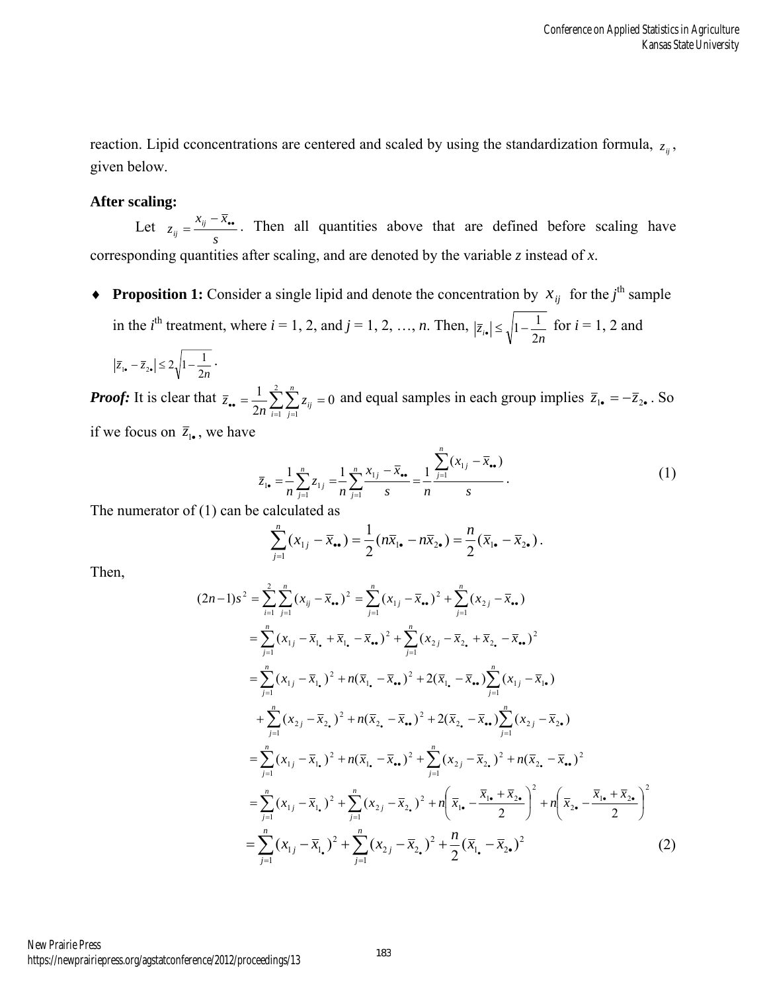reaction. Lipid cconcentrations are centered and scaled by using the standardization formula,  $z_{ij}$ , given below.

#### **After scaling:**

Let *s*  $z_{ij} = \frac{x_{ij} - \bar{x}_{\bullet \bullet}}{n}$ . Then all quantities above that are defined before scaling have corresponding quantities after scaling, and are denoted by the variable *z* instead of *x*.

**Proposition 1:** Consider a single lipid and denote the concentration by  $x_{ij}$  for the *j*<sup>th</sup> sample in the  $i<sup>th</sup>$  treatment, where  $i = 1, 2,$  and  $j = 1, 2, ..., n$ . Then,  $|\bar{z}_{i\bullet}| \leq \sqrt{1 - \frac{1}{2n}}$  for  $i = 1, 2$  and

$$
\left|\overline{z}_{1\bullet}-\overline{z}_{2\bullet}\right|\leq 2\sqrt{1-\frac{1}{2n}}\ .
$$

*Proof:* It is clear that  $\overline{z}_{\bullet} = \frac{1}{2} \sum \sum z_{ii} = 0$ 2  $1\sqrt{2}$  $\frac{1}{2n} \sum_{i=1}^{n} \sum_{j=1}^{n} z_{ij} =$ *n*  $\overline{z}_{\bullet} = \frac{1}{2n} \sum_{i=1}^{n} \sum_{j=1}^{n} z_{ij} = 0$  and equal samples in each group implies  $\overline{z}_{1\bullet} = -\overline{z}_{2\bullet}$ . So if we focus on  $\overline{z}_{1\bullet}$ , we have

$$
\overline{z}_{1\bullet} = \frac{1}{n} \sum_{j=1}^{n} z_{1j} = \frac{1}{n} \sum_{j=1}^{n} \frac{x_{1j} - \overline{x}_{\bullet \bullet}}{s} = \frac{1}{n} \frac{\sum_{j=1}^{n} (x_{1j} - \overline{x}_{\bullet \bullet})}{s}.
$$
(1)

The numerator of (1) can be calculated as

$$
\sum_{j=1}^n (x_{1j} - \overline{x}_{\bullet \bullet}) = \frac{1}{2} (n \overline{x}_{1 \bullet} - n \overline{x}_{2 \bullet}) = \frac{n}{2} (\overline{x}_{1 \bullet} - \overline{x}_{2 \bullet}).
$$

Then,

$$
(2n-1)s^{2} = \sum_{i=1}^{2} \sum_{j=1}^{n} (x_{ij} - \overline{x}_{\bullet.})^{2} = \sum_{j=1}^{n} (x_{1j} - \overline{x}_{\bullet.})^{2} + \sum_{j=1}^{n} (x_{2j} - \overline{x}_{\bullet.})
$$
  
\n
$$
= \sum_{j=1}^{n} (x_{1j} - \overline{x}_{1.} + \overline{x}_{1.} - \overline{x}_{\bullet.})^{2} + \sum_{j=1}^{n} (x_{2j} - \overline{x}_{2.} + \overline{x}_{2.} - \overline{x}_{\bullet.})^{2}
$$
  
\n
$$
= \sum_{j=1}^{n} (x_{1j} - \overline{x}_{1.})^{2} + n(\overline{x}_{1.} - \overline{x}_{\bullet.})^{2} + 2(\overline{x}_{1.} - \overline{x}_{\bullet.}) \sum_{j=1}^{n} (x_{1j} - \overline{x}_{1.})
$$
  
\n
$$
+ \sum_{j=1}^{n} (x_{2j} - \overline{x}_{2.})^{2} + n(\overline{x}_{2.} - \overline{x}_{\bullet.})^{2} + 2(\overline{x}_{2.} - \overline{x}_{\bullet.}) \sum_{j=1}^{n} (x_{2j} - \overline{x}_{2.})
$$
  
\n
$$
= \sum_{j=1}^{n} (x_{1j} - \overline{x}_{1.})^{2} + n(\overline{x}_{1.} - \overline{x}_{\bullet.})^{2} + \sum_{j=1}^{n} (x_{2j} - \overline{x}_{2.})^{2} + n(\overline{x}_{2.} - \overline{x}_{\bullet.})^{2}
$$
  
\n
$$
= \sum_{j=1}^{n} (x_{1j} - \overline{x}_{1.})^{2} + \sum_{j=1}^{n} (x_{2j} - \overline{x}_{2.})^{2} + n(\overline{x}_{1.} - \frac{\overline{x}_{1.} + \overline{x}_{2.}}{2})^{2} + n(\overline{x}_{2.} - \frac{\overline{x}_{1.} + \overline{x}_{2.}}{2})^{2}
$$
  
\n
$$
= \sum_{j=1}^{n} (x_{1j} - \overline{x}_{1.})^{2} + \sum_{j=1}^{n} (x_{2j} - \overline{x}_{2.})^{2} + \
$$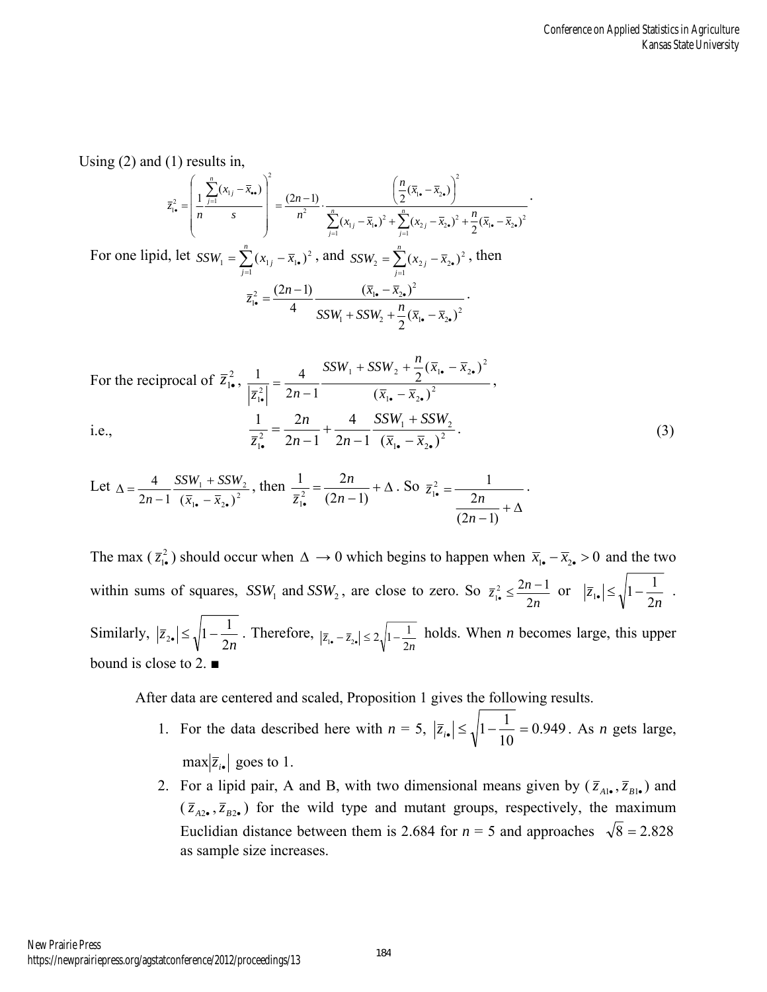Using (2) and (1) results in,

$$
\overline{z}_{\mathbf{i}\bullet}^{2} = \left(\frac{1}{n}\frac{\sum_{j=1}^{n}(x_{1j}-\overline{x}_{\bullet\bullet})}{s}\right)^{2} = \frac{(2n-1)}{n^{2}}\cdot\frac{\left(\frac{n}{2}(\overline{x}_{1\bullet}-\overline{x}_{2\bullet})\right)^{2}}{\sum_{j=1}^{n}(x_{1j}-\overline{x}_{1\bullet})^{2}+\sum_{j=1}^{n}(x_{2j}-\overline{x}_{2\bullet})^{2}+\frac{n}{2}(\overline{x}_{1\bullet}-\overline{x}_{2\bullet})^{2}}
$$

For one lipid, let  $SSW_1 = \sum_{j=1}^{n} (x_{1j} - \overline{x}_{1}$ .  $SSW_1 = \sum_{j=1}^{ } (x_{1j} - \bar{x})$  $Z_1 = \sum_{j=1}^{n} (x_{1j} - \bar{x}_{1.})^2$ , and  $SSW_2 = \sum_{j=1}^{n} (x_{2j} - \bar{x}_{2.})^2$  $SSW_2 = \sum_{j=1}^{\infty} (x_{2j} - \bar{x})$  $\bar{X}_2 = \sum_{i=1}^{n} (x_{2i} - \bar{x}_{2\bullet})^2$ , then  $\overline{z}_{1\bullet}^2 = \frac{(2n-1)}{4} \frac{(x_{1\bullet} - x_{2\bullet})^2}{SSW_1 + SSW_2 + \frac{n}{2}(\overline{x}_{1\bullet} - \overline{x}_{2\bullet})^2}$  $\overline{x}_{1\bullet}^2 = \frac{(2n-1)}{4} \frac{(\overline{x}_{1\bullet} - \overline{x}_{2\bullet})^2}{SSW_1 + SSW_2 + \frac{n}{2}(\overline{x}_{1\bullet} - \overline{x}_{2\bullet})}$  $(\overline{x}_{1\bullet} - \overline{x}_{2\bullet})$ 4  $(2n-1)$  $\bullet$   $\mathcal{M}_{2\bullet}$  $\frac{2}{4} = \frac{(2n-1)}{4} \frac{(x_1 - x_2)}{SSW_1 + SSW_2 + \frac{n}{2}(\bar{x}_1 - \bar{x}_2)}$  $=\frac{(2n-1)}{2}$   $(\bar{x}_{1.})$  $SSW_1 + SSW_2 + \frac{n}{2}(\overline{x}_{1\bullet} - \overline{x})$  $\overline{z}_{1\bullet}^2 = \frac{(2n-1)}{2}$   $\frac{(\overline{x}_1 - \overline{x}_2)^2}{(x_1 - \overline{x}_2)^2}$ 

For the reciprocal of 
$$
\overline{z}_{1\bullet}^2
$$
,  $\frac{1}{|\overline{z}_{1\bullet}^2|} = \frac{4}{2n-1} \frac{SSW_1 + SSW_2 + \frac{n}{2}(\overline{x}_{1\bullet} - \overline{x}_{2\bullet})^2}{(\overline{x}_{1\bullet} - \overline{x}_{2\bullet})^2}$ ,  
i.e., 
$$
\frac{1}{\overline{z}_{1\bullet}^2} = \frac{2n}{2n-1} + \frac{4}{2n-1} \frac{SSW_1 + SSW_2}{(\overline{x}_{1\bullet} - \overline{x}_{2\bullet})^2}.
$$
(3)

Let 
$$
\Delta = \frac{4}{2n-1} \frac{SSW_1 + SSW_2}{(\bar{x}_{1.} - \bar{x}_{2.})^2}
$$
, then  $\frac{1}{\bar{z}_{1.}^2} = \frac{2n}{(2n-1)} + \Delta$ . So  $\bar{z}_{1.}^2 = \frac{1}{\frac{2n}{(2n-1)} + \Delta}$ .

The max  $(\bar{z}_{1\bullet}^2)$  should occur when  $\Delta \to 0$  which begins to happen when  $\bar{x}_{1\bullet} - \bar{x}_{2\bullet} > 0$  and the two within sums of squares,  $SSW_1$  and  $SSW_2$ , are close to zero. So  $\overline{z}_{1\bullet}^2 \le \frac{2n-1}{2n}$  $\overline{z}_{1\bullet}^2 \leq \frac{2n}{2\pi}$ 2  $\frac{2}{1•} \leq \frac{2n-1}{2}$  $\sum_{i=1}^{n} \frac{2n-1}{2n}$  or  $|\overline{z}_{1\bullet}| \le \sqrt{1 - \frac{1}{2n}}$ *z* 2  $\left|\frac{1}{1-\frac{1}{2}}\right| \leq \sqrt{1-\frac{1}{2}}$ . Similarly, *n z* 2  $|z_{\bullet}| \leq \sqrt{1 - \frac{1}{2n}}$ . Therefore,  $|\overline{z}_{1\bullet} - \overline{z}_{2\bullet}| \leq 2\sqrt{1 - \frac{1}{2n}}$  holds. When *n* becomes large, this upper bound is close to 2. ■

After data are centered and scaled, Proposition 1 gives the following results.

- 1. For the data described here with  $n = 5$ ,  $|\overline{z}_{i_0}| \leq \sqrt{1 \frac{1}{4.0}} = 0.949$ . 10  $|\bar{z}_{i\bullet}| \leq \sqrt{1 - \frac{1}{10}} = 0.949$ . As *n* gets large,  $max|\overline{z}_{i\bullet}|$  goes to 1.
- 2. For a lipid pair, A and B, with two dimensional means given by  $(\bar{z}_{A1\bullet}, \bar{z}_{B1\bullet})$  and  $(\bar{z}_{A2\bullet}, \bar{z}_{B2\bullet})$  for the wild type and mutant groups, respectively, the maximum Euclidian distance between them is 2.684 for  $n = 5$  and approaches  $\sqrt{8} = 2.828$ as sample size increases.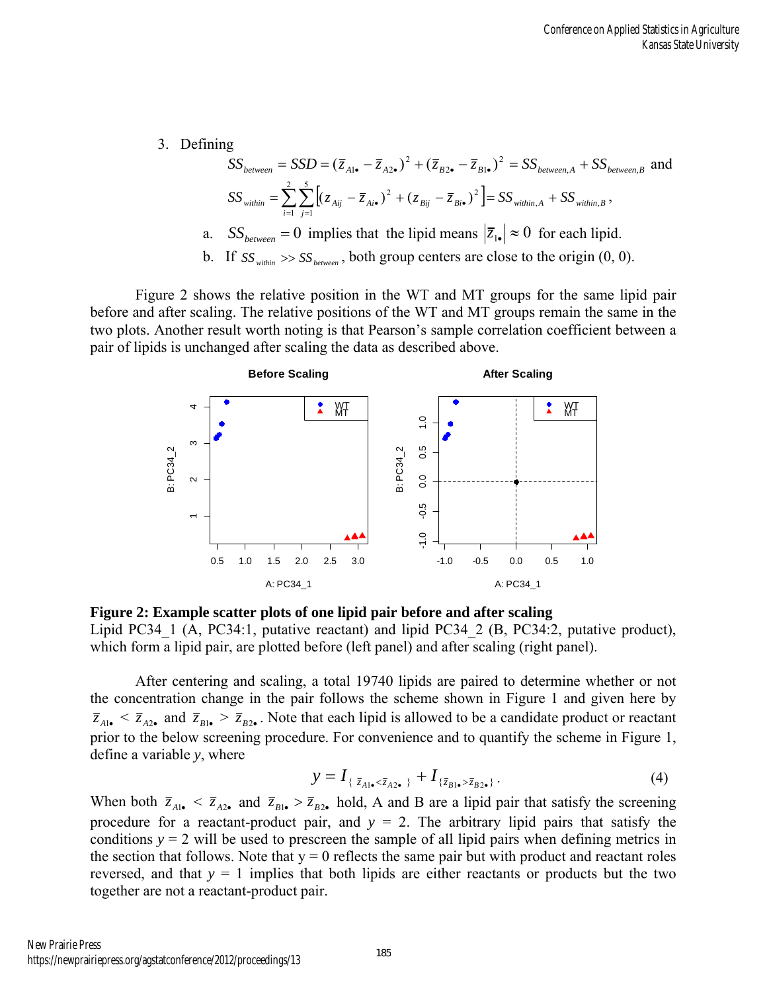3. Defining

$$
SS_{between} = SSD = (\overline{z}_{A1\bullet} - \overline{z}_{A2\bullet})^2 + (\overline{z}_{B2\bullet} - \overline{z}_{B1\bullet})^2 = SS_{between,A} + SS_{between,B} \text{ and}
$$
  
\n
$$
SS_{within} = \sum_{i=1}^{2} \sum_{j=1}^{5} \left[ (z_{Aij} - \overline{z}_{Ai\bullet})^2 + (z_{Bij} - \overline{z}_{Bi\bullet})^2 \right] = SS_{within,A} + SS_{within,B},
$$
  
\na. 
$$
SS_{between} = 0 \text{ implies that the lipid means } |\overline{z}_{1\bullet}| \approx 0 \text{ for each lipid.}
$$
  
\nb. If  $SS_{within} \gg SS_{between}$ , both group centers are close to the origin (0, 0).

Figure 2 shows the relative position in the WT and MT groups for the same lipid pair before and after scaling. The relative positions of the WT and MT groups remain the same in the two plots. Another result worth noting is that Pearson's sample correlation coefficient between a pair of lipids is unchanged after scaling the data as described above.



**Figure 2: Example scatter plots of one lipid pair before and after scaling** 

Lipid PC34\_1 (A, PC34:1, putative reactant) and lipid PC34\_2 (B, PC34:2, putative product), which form a lipid pair, are plotted before (left panel) and after scaling (right panel).

After centering and scaling, a total 19740 lipids are paired to determine whether or not the concentration change in the pair follows the scheme shown in Figure 1 and given here by  $\bar{z}_{A1}$  <  $\bar{z}_{A2}$  and  $\bar{z}_{B1}$  >  $\bar{z}_{B2}$ . Note that each lipid is allowed to be a candidate product or reactant prior to the below screening procedure. For convenience and to quantify the scheme in Figure 1, define a variable *y*, where

$$
y = I_{\{\bar{z}_{A1\bullet} < \bar{z}_{A2\bullet}\}} + I_{\{\bar{z}_{B1\bullet} > \bar{z}_{B2\bullet}\}}.
$$
 (4)

When both  $\bar{z}_{A1} \leq \bar{z}_{A2}$  and  $\bar{z}_{B1} \geq \bar{z}_{B2}$  hold, A and B are a lipid pair that satisfy the screening procedure for a reactant-product pair, and  $y = 2$ . The arbitrary lipid pairs that satisfy the conditions  $y = 2$  will be used to prescreen the sample of all lipid pairs when defining metrics in the section that follows. Note that  $y = 0$  reflects the same pair but with product and reactant roles reversed, and that  $y = 1$  implies that both lipids are either reactants or products but the two together are not a reactant-product pair.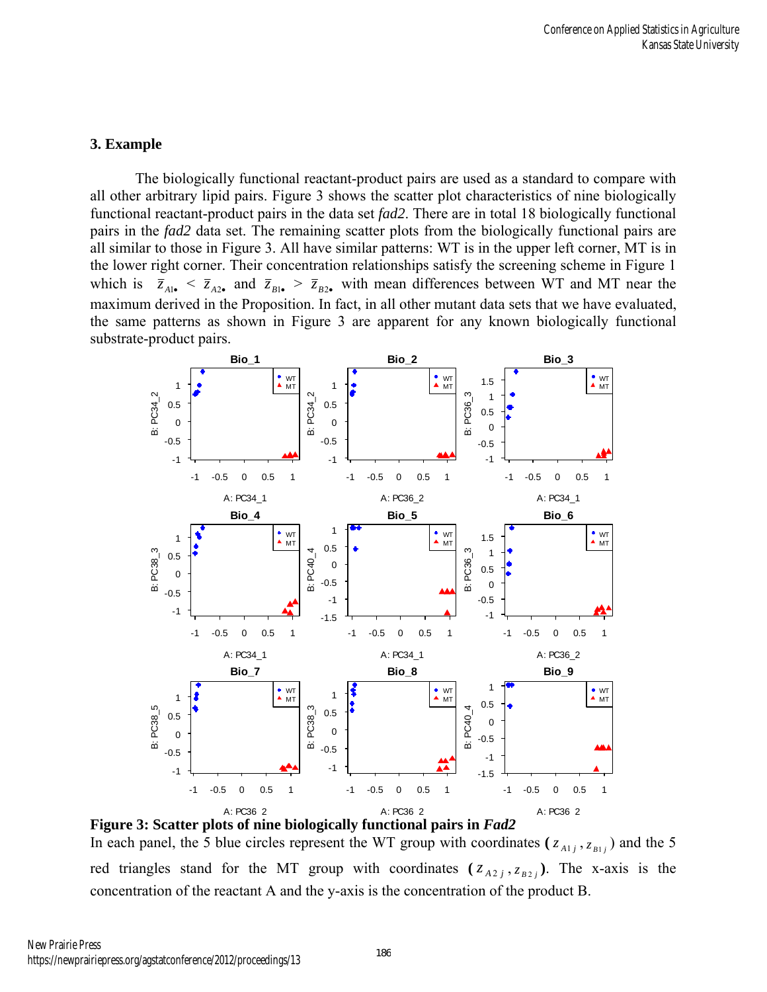# **3. Example**

The biologically functional reactant-product pairs are used as a standard to compare with all other arbitrary lipid pairs. Figure 3 shows the scatter plot characteristics of nine biologically functional reactant-product pairs in the data set *fad2*. There are in total 18 biologically functional pairs in the *fad2* data set. The remaining scatter plots from the biologically functional pairs are all similar to those in Figure 3. All have similar patterns: WT is in the upper left corner, MT is in the lower right corner. Their concentration relationships satisfy the screening scheme in Figure 1 which is  $\bar{z}_{A1} \leq \bar{z}_{A2}$  and  $\bar{z}_{B1} \geq \bar{z}_{B2}$  with mean differences between WT and MT near the maximum derived in the Proposition. In fact, in all other mutant data sets that we have evaluated, the same patterns as shown in Figure 3 are apparent for any known biologically functional substrate-product pairs.



**Figure 3: Scatter plots of nine biologically functional pairs in** *Fad2*

In each panel, the 5 blue circles represent the WT group with coordinates  $(z_{A1}, z_{B1})$  and the 5 red triangles stand for the MT group with coordinates  $(z_{A2j}, z_{B2j})$ . The x-axis is the concentration of the reactant A and the y-axis is the concentration of the product B.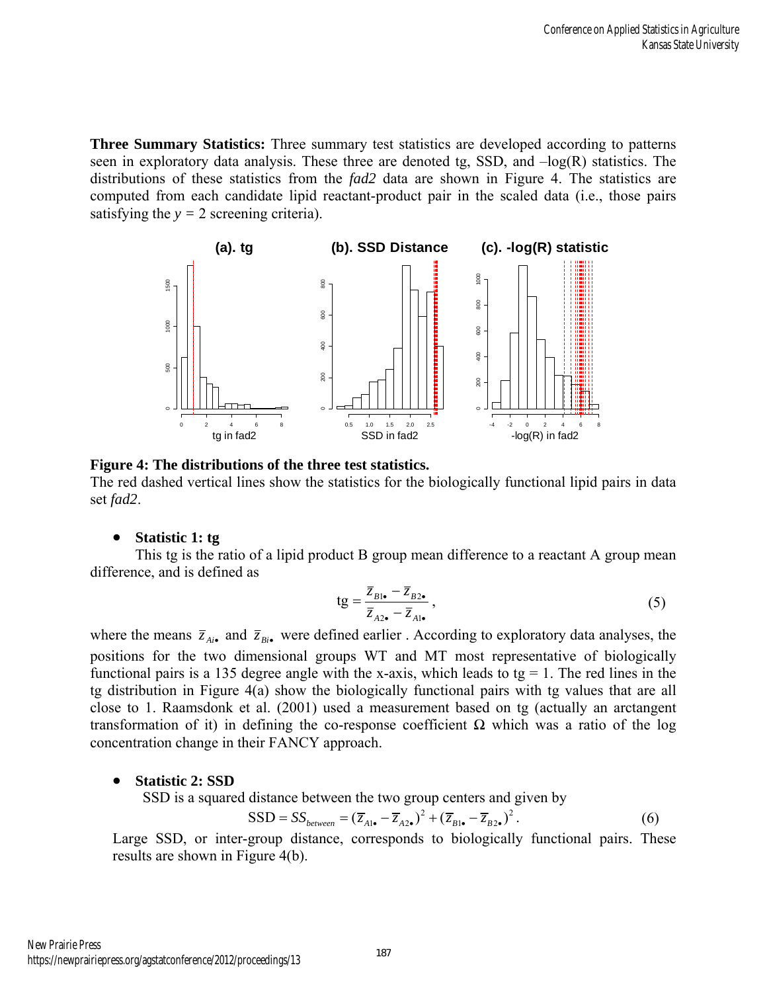**Three Summary Statistics:** Three summary test statistics are developed according to patterns seen in exploratory data analysis. These three are denoted tg, SSD, and –log(R) statistics. The distributions of these statistics from the *fad2* data are shown in Figure 4. The statistics are computed from each candidate lipid reactant-product pair in the scaled data (i.e., those pairs satisfying the  $y = 2$  screening criteria).



#### **Figure 4: The distributions of the three test statistics.**

The red dashed vertical lines show the statistics for the biologically functional lipid pairs in data set *fad2*.

#### **Statistic 1: tg**

This tg is the ratio of a lipid product B group mean difference to a reactant A group mean difference, and is defined as

$$
tg = \frac{\overline{z}_{B1\bullet} - \overline{z}_{B2\bullet}}{\overline{z}_{A2\bullet} - \overline{z}_{A1\bullet}},\tag{5}
$$

where the means  $\bar{z}_{Ai}$  and  $\bar{z}_{Bi}$  were defined earlier. According to exploratory data analyses, the positions for the two dimensional groups WT and MT most representative of biologically functional pairs is a 135 degree angle with the x-axis, which leads to tg  $= 1$ . The red lines in the tg distribution in Figure 4(a) show the biologically functional pairs with tg values that are all close to 1. Raamsdonk et al. (2001) used a measurement based on tg (actually an arctangent transformation of it) in defining the co-response coefficient Ω which was a ratio of the log concentration change in their FANCY approach.

#### **Statistic 2: SSD**

SSD is a squared distance between the two group centers and given by

$$
SSD = SS_{between} = (\overline{z}_{A1\bullet} - \overline{z}_{A2\bullet})^2 + (\overline{z}_{B1\bullet} - \overline{z}_{B2\bullet})^2. \tag{6}
$$

Large SSD, or inter-group distance, corresponds to biologically functional pairs. These results are shown in Figure 4(b).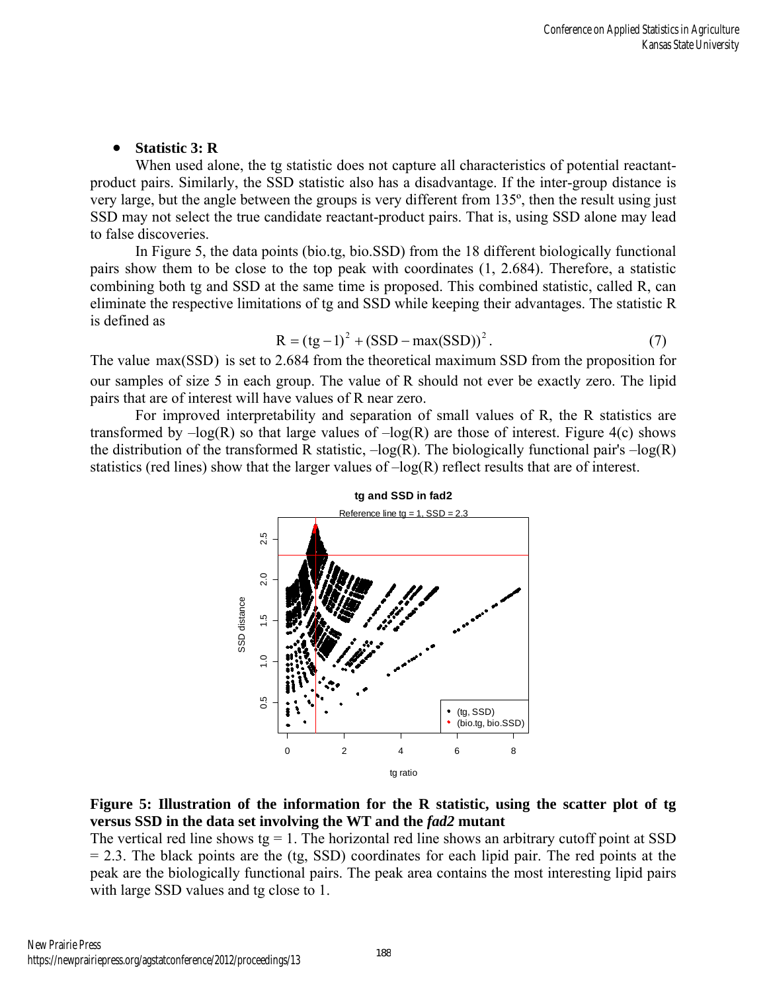# **Statistic 3: R**

When used alone, the tg statistic does not capture all characteristics of potential reactantproduct pairs. Similarly, the SSD statistic also has a disadvantage. If the inter-group distance is very large, but the angle between the groups is very different from 135º, then the result using just SSD may not select the true candidate reactant-product pairs. That is, using SSD alone may lead to false discoveries.

In Figure 5, the data points (bio.tg, bio.SSD) from the 18 different biologically functional pairs show them to be close to the top peak with coordinates (1, 2.684). Therefore, a statistic combining both tg and SSD at the same time is proposed. This combined statistic, called R, can eliminate the respective limitations of tg and SSD while keeping their advantages. The statistic R is defined as

$$
R = (tg-1)^{2} + (SSD - max(SSD))^{2}.
$$
 (7)

The value  $max(SSD)$  is set to 2.684 from the theoretical maximum SSD from the proposition for our samples of size 5 in each group. The value of R should not ever be exactly zero. The lipid pairs that are of interest will have values of R near zero.

For improved interpretability and separation of small values of R, the R statistics are transformed by  $-\log(R)$  so that large values of  $-\log(R)$  are those of interest. Figure 4(c) shows the distribution of the transformed R statistic,  $-\log(R)$ . The biologically functional pair's  $-\log(R)$ statistics (red lines) show that the larger values of  $-log(R)$  reflect results that are of interest.





The vertical red line shows tg  $= 1$ . The horizontal red line shows an arbitrary cutoff point at SSD  $= 2.3$ . The black points are the (tg, SSD) coordinates for each lipid pair. The red points at the peak are the biologically functional pairs. The peak area contains the most interesting lipid pairs with large SSD values and tg close to 1.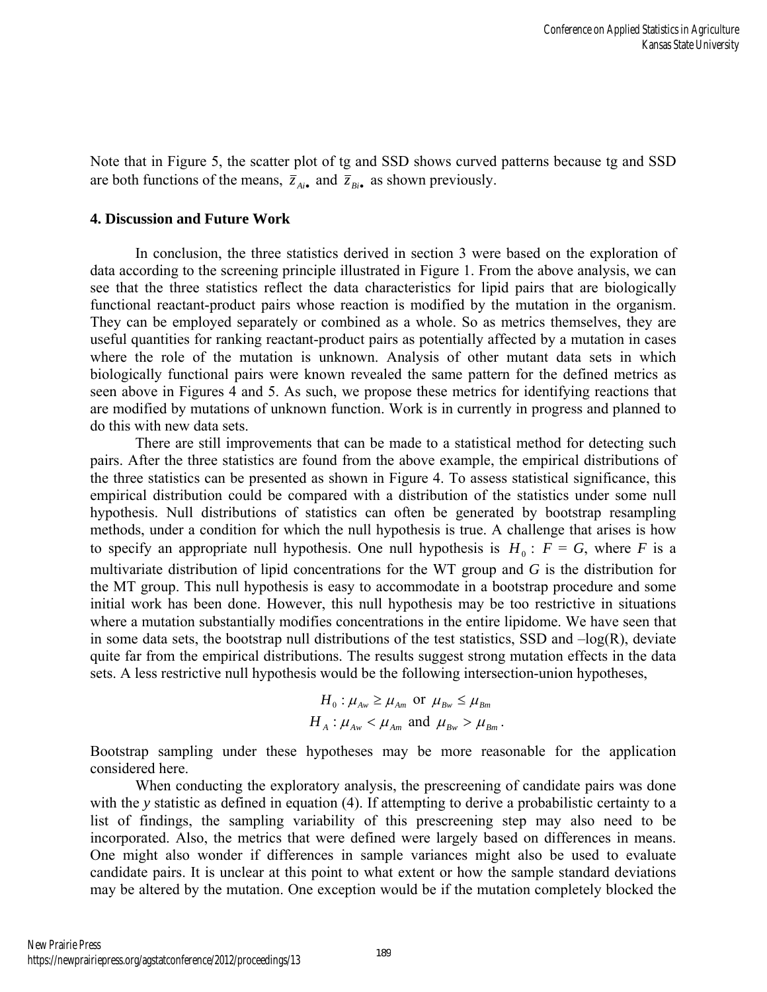Note that in Figure 5, the scatter plot of tg and SSD shows curved patterns because tg and SSD are both functions of the means,  $\bar{z}_{Ai}$  and  $\bar{z}_{Bi}$  as shown previously.

#### **4. Discussion and Future Work**

In conclusion, the three statistics derived in section 3 were based on the exploration of data according to the screening principle illustrated in Figure 1. From the above analysis, we can see that the three statistics reflect the data characteristics for lipid pairs that are biologically functional reactant-product pairs whose reaction is modified by the mutation in the organism. They can be employed separately or combined as a whole. So as metrics themselves, they are useful quantities for ranking reactant-product pairs as potentially affected by a mutation in cases where the role of the mutation is unknown. Analysis of other mutant data sets in which biologically functional pairs were known revealed the same pattern for the defined metrics as seen above in Figures 4 and 5. As such, we propose these metrics for identifying reactions that are modified by mutations of unknown function. Work is in currently in progress and planned to do this with new data sets.

There are still improvements that can be made to a statistical method for detecting such pairs. After the three statistics are found from the above example, the empirical distributions of the three statistics can be presented as shown in Figure 4. To assess statistical significance, this empirical distribution could be compared with a distribution of the statistics under some null hypothesis. Null distributions of statistics can often be generated by bootstrap resampling methods, under a condition for which the null hypothesis is true. A challenge that arises is how to specify an appropriate null hypothesis. One null hypothesis is  $H_0$ :  $F = G$ , where *F* is a multivariate distribution of lipid concentrations for the WT group and *G* is the distribution for the MT group. This null hypothesis is easy to accommodate in a bootstrap procedure and some initial work has been done. However, this null hypothesis may be too restrictive in situations where a mutation substantially modifies concentrations in the entire lipidome. We have seen that in some data sets, the bootstrap null distributions of the test statistics, SSD and  $-log(R)$ , deviate quite far from the empirical distributions. The results suggest strong mutation effects in the data sets. A less restrictive null hypothesis would be the following intersection-union hypotheses,

$$
H_0: \mu_{Aw} \ge \mu_{Am} \text{ or } \mu_{Bw} \le \mu_{Bm}
$$
  

$$
H_A: \mu_{Aw} < \mu_{Am} \text{ and } \mu_{Bw} > \mu_{Bm}.
$$

Bootstrap sampling under these hypotheses may be more reasonable for the application considered here.

When conducting the exploratory analysis, the prescreening of candidate pairs was done with the *y* statistic as defined in equation (4). If attempting to derive a probabilistic certainty to a list of findings, the sampling variability of this prescreening step may also need to be incorporated. Also, the metrics that were defined were largely based on differences in means. One might also wonder if differences in sample variances might also be used to evaluate candidate pairs. It is unclear at this point to what extent or how the sample standard deviations may be altered by the mutation. One exception would be if the mutation completely blocked the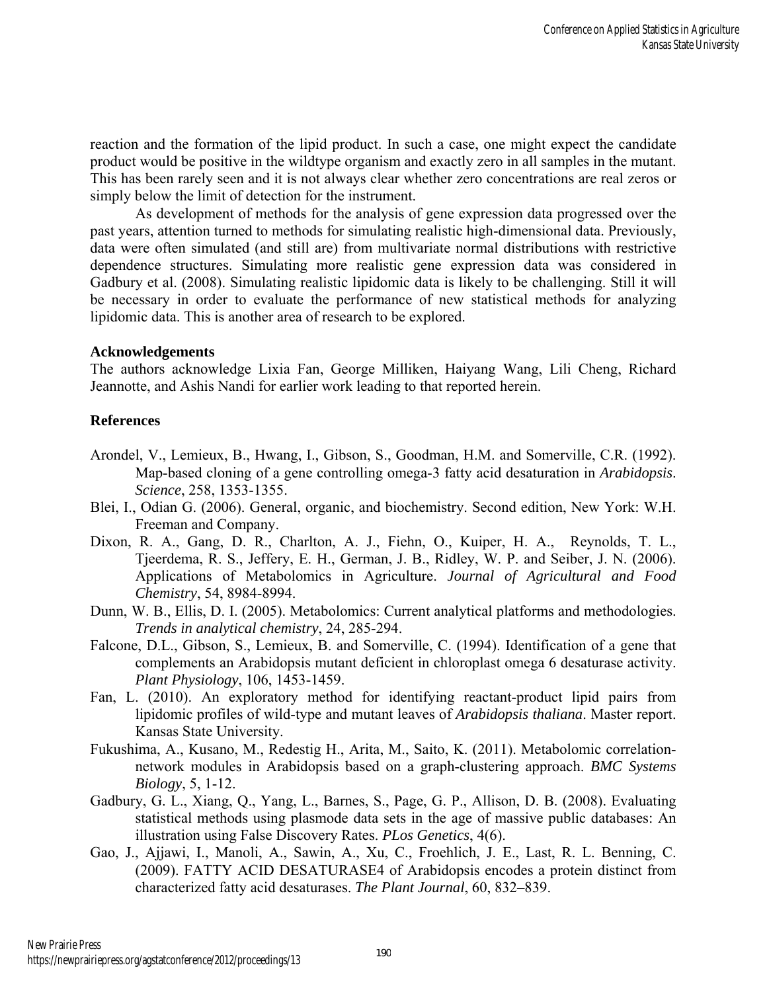reaction and the formation of the lipid product. In such a case, one might expect the candidate product would be positive in the wildtype organism and exactly zero in all samples in the mutant. This has been rarely seen and it is not always clear whether zero concentrations are real zeros or simply below the limit of detection for the instrument.

As development of methods for the analysis of gene expression data progressed over the past years, attention turned to methods for simulating realistic high-dimensional data. Previously, data were often simulated (and still are) from multivariate normal distributions with restrictive dependence structures. Simulating more realistic gene expression data was considered in Gadbury et al. (2008). Simulating realistic lipidomic data is likely to be challenging. Still it will be necessary in order to evaluate the performance of new statistical methods for analyzing lipidomic data. This is another area of research to be explored.

#### **Acknowledgements**

The authors acknowledge Lixia Fan, George Milliken, Haiyang Wang, Lili Cheng, Richard Jeannotte, and Ashis Nandi for earlier work leading to that reported herein.

#### **References**

- Arondel, V., Lemieux, B., Hwang, I., Gibson, S., Goodman, H.M. and Somerville, C.R. (1992). Map-based cloning of a gene controlling omega-3 fatty acid desaturation in *Arabidopsis*. *Science*, 258, 1353-1355.
- Blei, I., Odian G. (2006). General, organic, and biochemistry. Second edition, New York: W.H. Freeman and Company.
- Dixon, R. A., Gang, D. R., Charlton, A. J., Fiehn, O., Kuiper, H. A., Reynolds, T. L., Tjeerdema, R. S., Jeffery, E. H., German, J. B., Ridley, W. P. and Seiber, J. N. (2006). Applications of Metabolomics in Agriculture. *Journal of Agricultural and Food Chemistry*, 54, 8984-8994.
- Dunn, W. B., Ellis, D. I. (2005). Metabolomics: Current analytical platforms and methodologies. *Trends in analytical chemistry*, 24, 285-294.
- Falcone, D.L., Gibson, S., Lemieux, B. and Somerville, C. (1994). Identification of a gene that complements an Arabidopsis mutant deficient in chloroplast omega 6 desaturase activity. *Plant Physiology*, 106, 1453-1459.
- Fan, L. (2010). An exploratory method for identifying reactant-product lipid pairs from lipidomic profiles of wild-type and mutant leaves of *Arabidopsis thaliana*. Master report. Kansas State University.
- Fukushima, A., Kusano, M., Redestig H., Arita, M., Saito, K. (2011). Metabolomic correlationnetwork modules in Arabidopsis based on a graph-clustering approach. *BMC Systems Biology*, 5, 1-12.
- Gadbury, G. L., Xiang, Q., Yang, L., Barnes, S., Page, G. P., Allison, D. B. (2008). Evaluating statistical methods using plasmode data sets in the age of massive public databases: An illustration using False Discovery Rates. *PLos Genetics*, 4(6).
- Gao, J., Ajjawi, I., Manoli, A., Sawin, A., Xu, C., Froehlich, J. E., Last, R. L. Benning, C. (2009). FATTY ACID DESATURASE4 of Arabidopsis encodes a protein distinct from characterized fatty acid desaturases. *The Plant Journal*, 60, 832–839.